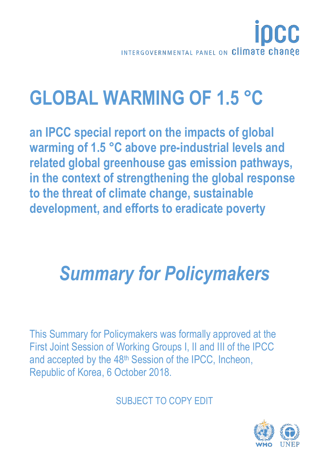

# **GLOBAL WARMING OF 1.5 °C**

**an IPCC special report on the impacts of global warming of 1.5 °C above pre-industrial levels and related global greenhouse gas emission pathways, in the context of strengthening the global response to the threat of climate change, sustainable development, and efforts to eradicate poverty**

# *Summary for Policymakers*

This Summary for Policymakers was formally approved at the First Joint Session of Working Groups I, II and III of the IPCC and accepted by the 48th Session of the IPCC, Incheon, Republic of Korea, 6 October 2018.

SUBJECT TO COPY EDIT

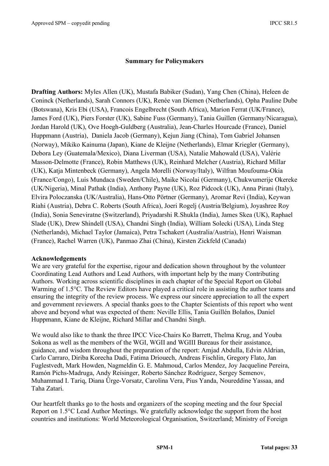#### **Summary for Policymakers**

**Drafting Authors:** Myles Allen (UK), Mustafa Babiker (Sudan), Yang Chen (China), Heleen de Coninck (Netherlands), Sarah Connors (UK), Renée van Diemen (Netherlands), Opha Pauline Dube (Botswana), Kris Ebi (USA), Francois Engelbrecht (South Africa), Marion Ferrat (UK/France), James Ford (UK), Piers Forster (UK), Sabine Fuss (Germany), Tania Guillen (Germany/Nicaragua), Jordan Harold (UK), Ove Hoegh-Guldberg (Australia), Jean-Charles Hourcade (France), Daniel Huppmann (Austria), Daniela Jacob (Germany), Kejun Jiang (China), Tom Gabriel Johansen (Norway), Mikiko Kainuma (Japan), Kiane de Kleijne (Netherlands), Elmar Kriegler (Germany), Debora Ley (Guatemala/Mexico), Diana Liverman (USA), Natalie Mahowald (USA), Valérie Masson-Delmotte (France), Robin Matthews (UK), Reinhard Melcher (Austria), Richard Millar (UK), Katja Mintenbeck (Germany), Angela Morelli (Norway/Italy), Wilfran Moufouma-Okia (France/Congo), Luis Mundaca (Sweden/Chile), Maike Nicolai (Germany), Chukwumerije Okereke (UK/Nigeria), Minal Pathak (India), Anthony Payne (UK), Roz Pidcock (UK), Anna Pirani (Italy), Elvira Poloczanska (UK/Australia), Hans-Otto Pörtner (Germany), Aromar Revi (India), Keywan Riahi (Austria), Debra C. Roberts (South Africa), Joeri Rogelj (Austria/Belgium), Joyashree Roy (India), Sonia Seneviratne (Switzerland), Priyadarshi R.Shukla (India), James Skea (UK), Raphael Slade (UK), Drew Shindell (USA), Chandni Singh (India), William Solecki (USA), Linda Steg (Netherlands), Michael Taylor (Jamaica), Petra Tschakert (Australia/Austria), Henri Waisman (France), Rachel Warren (UK), Panmao Zhai (China), Kirsten Zickfeld (Canada)

#### **Acknowledgements**

We are very grateful for the expertise, rigour and dedication shown throughout by the volunteer Coordinating Lead Authors and Lead Authors, with important help by the many Contributing Authors. Working across scientific disciplines in each chapter of the Special Report on Global Warming of 1.5°C. The Review Editors have played a critical role in assisting the author teams and ensuring the integrity of the review process. We express our sincere appreciation to all the expert and government reviewers. A special thanks goes to the Chapter Scientists of this report who went above and beyond what was expected of them: Neville Ellis, Tania Guillén Bolaños, Daniel Huppmann, Kiane de Kleijne, Richard Millar and Chandni Singh.

We would also like to thank the three IPCC Vice-Chairs Ko Barrett, Thelma Krug, and Youba Sokona as well as the members of the WGI, WGII and WGIII Bureaus for their assistance, guidance, and wisdom throughout the preparation of the report: Amjad Abdulla, Edvin Aldrian, Carlo Carraro, Diriba Korecha Dadi, Fatima Driouech, Andreas Fischlin, Gregory Flato, Jan Fuglestvedt, Mark Howden, Nagmeldin G. E. Mahmoud, Carlos Mendez, Joy Jacqueline Pereira, Ramón Pichs-Madruga, Andy Reisinger, Roberto Sánchez Rodríguez, Sergey Semenov, Muhammad I. Tariq, Diana Ürge-Vorsatz, Carolina Vera, Pius Yanda, Noureddine Yassaa, and Taha Zatari.

Our heartfelt thanks go to the hosts and organizers of the scoping meeting and the four Special Report on 1.5°C Lead Author Meetings. We gratefully acknowledge the support from the host countries and institutions: World Meteorological Organisation, Switzerland; Ministry of Foreign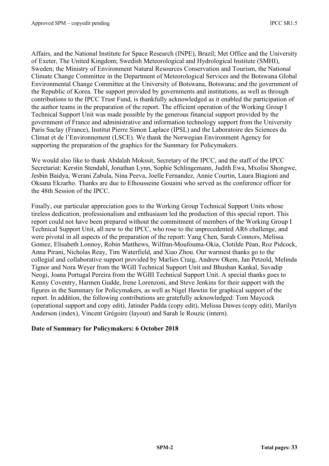Affairs, and the National Institute for Space Research (INPE), Brazil; Met Office and the University of Exeter, The United Kingdom; Swedish Meteorological and Hydrological Institute (SMHI), Sweden; the Ministry of Environment Natural Resources Conservation and Tourism, the National Climate Change Committee in the Department of Meteorological Services and the Botswana Global Environmental Change Committee at the University of Botswana, Botswana; and the government of the Republic of Korea. The support provided by governments and institutions, as well as through contributions to the IPCC Trust Fund, is thankfully acknowledged as it enabled the participation of the author teams in the preparation of the report. The efficient operation of the Working Group I Technical Support Unit was made possible by the generous financial support provided by the government of France and administrative and information technology support from the University Paris Saclay (France), Institut Pierre Simon Laplace (IPSL) and the Laboratoire des Sciences du Climat et de l'Environnement (LSCE). We thank the Norwegian Environment Agency for supporting the preparation of the graphics for the Summary for Policymakers.

We would also like to thank Abdalah Mokssit, Secretary of the IPCC, and the staff of the IPCC Secretariat: Kerstin Stendahl, Jonathan Lynn, Sophie Schlingemann, Judith Ewa, Mxolisi Shongwe, Jesbin Baidya, Werani Zabula, Nina Peeva, Joelle Fernandez, Annie Courtin, Laura Biagioni and Oksana Ekzarho. Thanks are due to Elhousseine Gouaini who served as the conference officer for the 48th Session of the IPCC.

Finally, our particular appreciation goes to the Working Group Technical Support Units whose tireless dedication, professionalism and enthusiasm led the production of this special report. This report could not have been prepared without the commitment of members of the Working Group I Technical Support Unit, all new to the IPCC, who rose to the unprecedented AR6 challenge, and were pivotal in all aspects of the preparation of the report: Yang Chen, Sarah Connors, Melissa Gomez, Elisabeth Lonnoy, Robin Matthews, Wilfran-Moufouma-Okia, Clotilde Péan, Roz Pidcock, Anna Pirani, Nicholas Reay, Tim Waterfield, and Xiao Zhou. Our warmest thanks go to the collegial and collaborative support provided by Marlies Craig, Andrew Okem, Jan Petzold, Melinda Tignor and Nora Weyer from the WGII Technical Support Unit and Bhushan Kankal, Suvadip Neogi, Joana Portugal Pereira from the WGIII Technical Support Unit. A special thanks goes to Kenny Coventry, Harmen Gudde, Irene Lorenzoni, and Steve Jenkins for their support with the figures in the Summary for Policymakers, as well as Nigel Hawtin for graphical support of the report. In addition, the following contributions are gratefully acknowledged: Tom Maycock (operational support and copy edit), Jatinder Padda (copy edit), Melissa Dawes (copy edit), Marilyn Anderson (index), Vincent Grégoire (layout) and Sarah le Rouzic (intern).

#### **Date of Summary for Policymakers: 6 October 2018**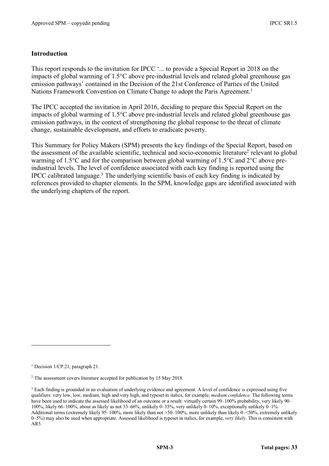#### **Introduction**

This report responds to the invitation for IPCC '... to provide a Special Report in 2018 on the impacts of global warming of 1.5°C above pre-industrial levels and related global greenhouse gas emission pathways' contained in the Decision of the 21st Conference of Parties of the United Nations Framework Convention on Climate Change to adopt the Paris Agreement.<sup>1</sup>

The IPCC accepted the invitation in April 2016, deciding to prepare this Special Report on the impacts of global warming of 1.5°C above pre-industrial levels and related global greenhouse gas emission pathways, in the context of strengthening the global response to the threat of climate change, sustainable development, and efforts to eradicate poverty.

This Summary for Policy Makers (SPM) presents the key findings of the Special Report, based on the assessment of the available scientific, technical and socio-economic literature2 relevant to global warming of 1.5°C and for the comparison between global warming of 1.5°C and 2°C above preindustrial levels. The level of confidence associated with each key finding is reported using the IPCC calibrated language.3 The underlying scientific basis of each key finding is indicated by references provided to chapter elements. In the SPM, knowledge gaps are identified associated with the underlying chapters of the report.

 $\overline{a}$ 

<sup>1</sup> Decision 1/CP.21, paragraph 21.

<sup>2</sup> The assessment covers literature accepted for publication by 15 May 2018.

<sup>&</sup>lt;sup>3</sup> Each finding is grounded in an evaluation of underlying evidence and agreement. A level of confidence is expressed using five qualifiers: very low, low, medium, high and very high, and typeset in italics, for example, *medium confidence*. The following terms have been used to indicate the assessed likelihood of an outcome or a result: virtually certain 99–100% probability, very likely 90– 100%, likely 66–100%, about as likely as not 33–66%, unlikely 0–33%, very unlikely 0–10%, exceptionally unlikely 0–1%. Additional terms (extremely likely 95–100%, more likely than not >50–100%, more unlikely than likely 0–<50%, extremely unlikely 0–5%) may also be used when appropriate. Assessed likelihood is typeset in italics, for example, *very likely*. This is consistent with AR5.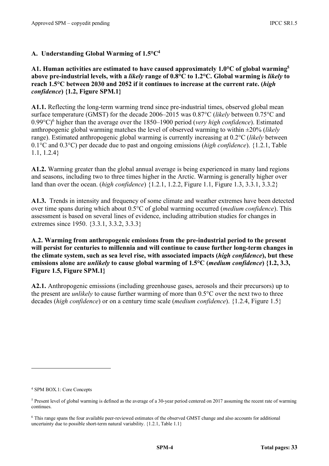#### **A. Understanding Global Warming of 1.5°C4**

**A1. Human activities are estimated to have caused approximately 1.0°C of global warming5 above pre-industrial levels, with a** *likely* **range of 0.8°C to 1.2°C. Global warming is** *likely* **to reach 1.5°C between 2030 and 2052 if it continues to increase at the current rate. (***high confidence***) {1.2, Figure SPM.1}**

**A1.1.** Reflecting the long-term warming trend since pre-industrial times, observed global mean surface temperature (GMST) for the decade 2006–2015 was 0.87°C (*likely* between 0.75°C and 0.99°C)6 higher than the average over the 1850–1900 period (*very high confidence*). Estimated anthropogenic global warming matches the level of observed warming to within ±20% (*likely* range). Estimated anthropogenic global warming is currently increasing at 0.2°C (*likely* between 0.1°C and 0.3°C) per decade due to past and ongoing emissions (*high confidence*). {1.2.1, Table 1.1, 1.2.4}

**A1.2.** Warming greater than the global annual average is being experienced in many land regions and seasons, including two to three times higher in the Arctic. Warming is generally higher over land than over the ocean. (*high confidence*) {1.2.1, 1.2.2, Figure 1.1, Figure 1.3, 3.3.1, 3.3.2}

**A1.3.** Trends in intensity and frequency of some climate and weather extremes have been detected over time spans during which about 0.5°C of global warming occurred (*medium confidence*). This assessment is based on several lines of evidence, including attribution studies for changes in extremes since 1950. {3.3.1, 3.3.2, 3.3.3}

**A.2. Warming from anthropogenic emissions from the pre-industrial period to the present will persist for centuries to millennia and will continue to cause further long-term changes in the climate system, such as sea level rise, with associated impacts (***high confidence***), but these emissions alone are** *unlikely* **to cause global warming of 1.5°C (***medium confidence***) {1.2, 3.3, Figure 1.5, Figure SPM.1}**

**A2.1.** Anthropogenic emissions (including greenhouse gases, aerosols and their precursors) up to the present are *unlikely* to cause further warming of more than 0.5°C over the next two to three decades (*high confidence*) or on a century time scale (*medium confidence*). {1.2.4, Figure 1.5}

 $\overline{a}$ 

<sup>4</sup> SPM BOX.1: Core Concepts

<sup>5</sup> Present level of global warming is defined as the average of a 30-year period centered on 2017 assuming the recent rate of warming continues.

<sup>6</sup> This range spans the four available peer-reviewed estimates of the observed GMST change and also accounts for additional uncertainty due to possible short-term natural variability. {1.2.1, Table 1.1}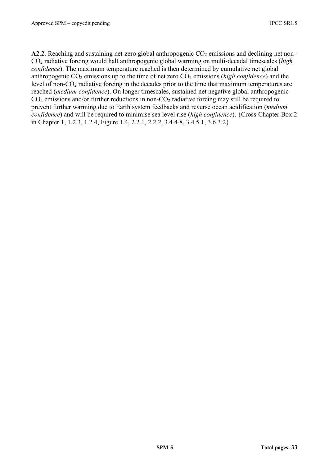**A2.2.** Reaching and sustaining net-zero global anthropogenic  $CO<sub>2</sub>$  emissions and declining net non-CO2 radiative forcing would halt anthropogenic global warming on multi-decadal timescales (*high confidence*). The maximum temperature reached is then determined by cumulative net global anthropogenic CO<sub>2</sub> emissions up to the time of net zero CO<sub>2</sub> emissions (*high confidence*) and the level of non-CO2 radiative forcing in the decades prior to the time that maximum temperatures are reached (*medium confidence*). On longer timescales, sustained net negative global anthropogenic  $CO<sub>2</sub>$  emissions and/or further reductions in non- $CO<sub>2</sub>$  radiative forcing may still be required to prevent further warming due to Earth system feedbacks and reverse ocean acidification (*medium confidence*) and will be required to minimise sea level rise (*high confidence*). {Cross-Chapter Box 2 in Chapter 1, 1.2.3, 1.2.4, Figure 1.4, 2.2.1, 2.2.2, 3.4.4.8, 3.4.5.1, 3.6.3.2}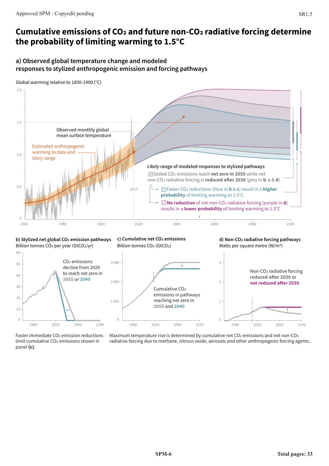## **Cumulative emissions of CO2 and future non-CO2 radiative forcing determine the probability of limiting warming to 1.5°C**

#### **a) Observed global temperature change and modeled responses to stylized anthropogenic emission and forcing pathways**





Billion tonnes CO<sub>2</sub> per year (GtCO<sub>2</sub>/yr) Billion tonnes CO<sub>2</sub> (GtCO<sub>2</sub>) Watts per square metre (W/m<sup>2</sup>)







Faster immediate CO2 emission reductions limit cumulative CO2 emissions shown in panel **(c)**.

Maximum temperature rise is determined by cumulative net  $CO<sub>2</sub>$  emissions and net non- $CO<sub>2</sub>$ radiative forcing due to methane, nitrous oxide, aerosols and other anthropogenic forcing agents.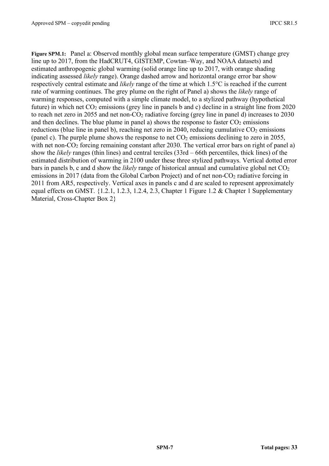**Figure SPM.1:** Panel a: Observed monthly global mean surface temperature (GMST) change grey line up to 2017, from the HadCRUT4, GISTEMP, Cowtan–Way, and NOAA datasets) and estimated anthropogenic global warming (solid orange line up to 2017, with orange shading indicating assessed *likely* range). Orange dashed arrow and horizontal orange error bar show respectively central estimate and *likely* range of the time at which 1.5°C is reached if the current rate of warming continues. The grey plume on the right of Panel a) shows the *likely* range of warming responses, computed with a simple climate model, to a stylized pathway (hypothetical future) in which net  $CO<sub>2</sub>$  emissions (grey line in panels b and c) decline in a straight line from 2020 to reach net zero in 2055 and net non- $CO<sub>2</sub>$  radiative forcing (grey line in panel d) increases to 2030 and then declines. The blue plume in panel a) shows the response to faster  $CO<sub>2</sub>$  emissions reductions (blue line in panel b), reaching net zero in 2040, reducing cumulative  $CO<sub>2</sub>$  emissions (panel c). The purple plume shows the response to net  $CO<sub>2</sub>$  emissions declining to zero in 2055, with net non- $CO<sub>2</sub>$  forcing remaining constant after 2030. The vertical error bars on right of panel a) show the *likely* ranges (thin lines) and central terciles (33rd – 66th percentiles, thick lines) of the estimated distribution of warming in 2100 under these three stylized pathways. Vertical dotted error bars in panels b, c and d show the *likely* range of historical annual and cumulative global net CO<sub>2</sub> emissions in 2017 (data from the Global Carbon Project) and of net non- $CO<sub>2</sub>$  radiative forcing in 2011 from AR5, respectively. Vertical axes in panels c and d are scaled to represent approximately equal effects on GMST. {1.2.1, 1.2.3, 1.2.4, 2.3, Chapter 1 Figure 1.2 & Chapter 1 Supplementary Material, Cross-Chapter Box 2}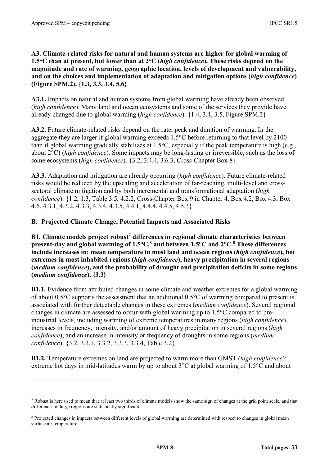**A3. Climate-related risks for natural and human systems are higher for global warming of 1.5°C than at present, but lower than at 2°C (***high confidence***). These risks depend on the magnitude and rate of warming, geographic location, levels of development and vulnerability, and on the choices and implementation of adaptation and mitigation options (***high confidence***) (Figure SPM.2). {1.3, 3.3, 3.4, 5.6}**

**A3.1.** Impacts on natural and human systems from global warming have already been observed (*high confidence*). Many land and ocean ecosystems and some of the services they provide have already changed due to global warming (*high confidence*). {1.4, 3.4, 3.5, Figure SPM.2}

**A3.2.** Future climate-related risks depend on the rate, peak and duration of warming. In the aggregate they are larger if global warming exceeds 1.5°C before returning to that level by 2100 than if global warming gradually stabilizes at 1.5°C, especially if the peak temperature is high (e.g., about 2°C) (*high confidence*). Some impacts may be long-lasting or irreversible, such as the loss of some ecosystems (*high confidence*). {3.2, 3.4.4, 3.6.3, Cross-Chapter Box 8}

**A3.3.** Adaptation and mitigation are already occurring (*high confidence*). Future climate-related risks would be reduced by the upscaling and acceleration of far-reaching, multi-level and crosssectoral climate mitigation and by both incremental and transformational adaptation (*high confidence*). {1.2, 1.3, Table 3.5, 4.2.2, Cross-Chapter Box 9 in Chapter 4, Box 4.2, Box 4.3, Box 4.6, 4.3.1, 4.3.2, 4.3.3, 4.3.4, 4.3.5, 4.4.1, 4.4.4, 4.4.5, 4.5.3}

#### **B. Projected Climate Change, Potential Impacts and Associated Risks**

**B1. Climate models project robust7 differences in regional climate characteristics between present-day and global warming of 1.5°C,8 and between 1.5°C and 2°C.8 These differences include increases in: mean temperature in most land and ocean regions (***high confidence***), hot extremes in most inhabited regions (***high confidence***), heavy precipitation in several regions (***medium confidence***), and the probability of drought and precipitation deficits in some regions (***medium confidence***). {3.3}**

**B1.1.** Evidence from attributed changes in some climate and weather extremes for a global warming of about 0.5°C supports the assessment that an additional 0.5°C of warming compared to present is associated with further detectable changes in these extremes (*medium confidence*). Several regional changes in climate are assessed to occur with global warming up to 1.5°C compared to preindustrial levels, including warming of extreme temperatures in many regions (*high confidence*), increases in frequency, intensity, and/or amount of heavy precipitation in several regions (*high confidence*), and an increase in intensity or frequency of droughts in some regions (*medium confidence*). {3.2, 3.3.1, 3.3.2, 3.3.3, 3.3.4, Table 3.2}

**B1.2.** Temperature extremes on land are projected to warm more than GMST (*high confidence*): extreme hot days in mid-latitudes warm by up to about 3°C at global warming of 1.5°C and about

<sup>7</sup> Robust is here used to mean that at least two thirds of climate models show the same sign of changes at the grid point scale, and that differences in large regions are statistically significant.

<sup>&</sup>lt;sup>8</sup> Projected changes in impacts between different levels of global warming are determined with respect to changes in global mean surface air temperature.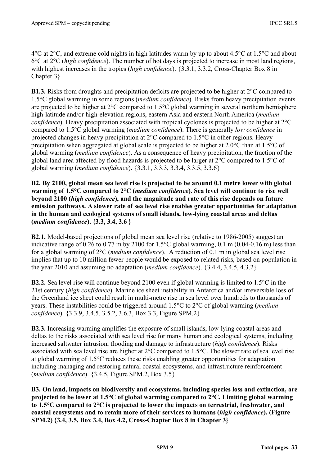4°C at 2°C, and extreme cold nights in high latitudes warm by up to about 4.5°C at 1.5°C and about 6°C at 2°C (*high confidence*). The number of hot days is projected to increase in most land regions, with highest increases in the tropics (*high confidence*). {3.3.1, 3.3.2, Cross-Chapter Box 8 in Chapter 3}

**B1.3.** Risks from droughts and precipitation deficits are projected to be higher at 2°C compared to 1.5°C global warming in some regions (*medium confidence*). Risks from heavy precipitation events are projected to be higher at 2°C compared to 1.5°C global warming in several northern hemisphere high-latitude and/or high-elevation regions, eastern Asia and eastern North America (*medium confidence*). Heavy precipitation associated with tropical cyclones is projected to be higher at 2<sup>o</sup>C compared to 1.5°C global warming (*medium confidence*). There is generally *low confidence* in projected changes in heavy precipitation at 2°C compared to 1.5°C in other regions. Heavy precipitation when aggregated at global scale is projected to be higher at 2.0°C than at 1.5°C of global warming (*medium confidence*). As a consequence of heavy precipitation, the fraction of the global land area affected by flood hazards is projected to be larger at 2°C compared to 1.5°C of global warming (*medium confidence*). {3.3.1, 3.3.3, 3.3.4, 3.3.5, 3.3.6}

**B2. By 2100, global mean sea level rise is projected to be around 0.1 metre lower with global warming of 1.5°C compared to 2°C (***medium confidence***). Sea level will continue to rise well beyond 2100 (***high confidence***), and the magnitude and rate of this rise depends on future emission pathways. A slower rate of sea level rise enables greater opportunities for adaptation in the human and ecological systems of small islands, low-lying coastal areas and deltas (***medium confidence***). {3.3, 3.4, 3.6 }**

**B2.1.** Model-based projections of global mean sea level rise (relative to 1986-2005) suggest an indicative range of 0.26 to 0.77 m by 2100 for 1.5°C global warming, 0.1 m (0.04-0.16 m) less than for a global warming of 2°C (*medium confidence*). A reduction of 0.1 m in global sea level rise implies that up to 10 million fewer people would be exposed to related risks, based on population in the year 2010 and assuming no adaptation (*medium confidence*). {3.4.4, 3.4.5, 4.3.2}

**B2.2.** Sea level rise will continue beyond 2100 even if global warming is limited to 1.5°C in the 21st century (*high confidence*). Marine ice sheet instability in Antarctica and/or irreversible loss of the Greenland ice sheet could result in multi-metre rise in sea level over hundreds to thousands of years. These instabilities could be triggered around 1.5°C to 2°C of global warming (*medium confidence*). {3.3.9, 3.4.5, 3.5.2, 3.6.3, Box 3.3, Figure SPM.2}

**B2.3.** Increasing warming amplifies the exposure of small islands, low-lying coastal areas and deltas to the risks associated with sea level rise for many human and ecological systems, including increased saltwater intrusion, flooding and damage to infrastructure (*high confidence*). Risks associated with sea level rise are higher at 2°C compared to 1.5°C. The slower rate of sea level rise at global warming of 1.5°C reduces these risks enabling greater opportunities for adaptation including managing and restoring natural coastal ecosystems, and infrastructure reinforcement (*medium confidence*). {3.4.5, Figure SPM.2, Box 3.5}

**B3. On land, impacts on biodiversity and ecosystems, including species loss and extinction, are projected to be lower at 1.5°C of global warming compared to 2°C. Limiting global warming to 1.5°C compared to 2°C is projected to lower the impacts on terrestrial, freshwater, and coastal ecosystems and to retain more of their services to humans (***high confidence***). (Figure SPM.2) {3.4, 3.5, Box 3.4, Box 4.2, Cross-Chapter Box 8 in Chapter 3}**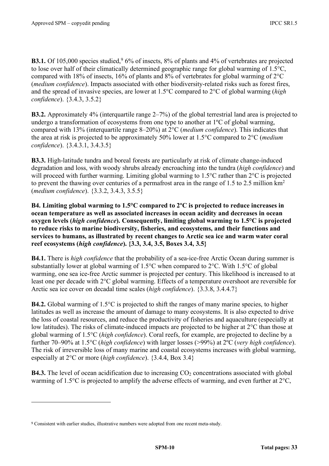**B3.1.** Of 105,000 species studied,  $9\frac{6}{%}$  of insects,  $8\%$  of plants and 4% of vertebrates are projected to lose over half of their climatically determined geographic range for global warming of 1.5°C, compared with 18% of insects, 16% of plants and 8% of vertebrates for global warming of 2°C (*medium confidence*). Impacts associated with other biodiversity-related risks such as forest fires, and the spread of invasive species, are lower at 1.5°C compared to 2°C of global warming (*high confidence*). {3.4.3, 3.5.2}

**B3.2.** Approximately 4% (interquartile range 2–7%) of the global terrestrial land area is projected to undergo a transformation of ecosystems from one type to another at 1ºC of global warming, compared with 13% (interquartile range 8–20%) at 2°C (*medium confidence*). This indicates that the area at risk is projected to be approximately 50% lower at 1.5°C compared to 2°C (*medium confidence*). {3.4.3.1, 3.4.3.5}

**B3.3.** High-latitude tundra and boreal forests are particularly at risk of climate change-induced degradation and loss, with woody shrubs already encroaching into the tundra (*high confidence*) and will proceed with further warming. Limiting global warming to 1.5<sup>o</sup>C rather than 2<sup>o</sup>C is projected to prevent the thawing over centuries of a permafrost area in the range of 1.5 to 2.5 million km2 (*medium confidence*). {3.3.2, 3.4.3, 3.5.5}

**B4. Limiting global warming to 1.5°C compared to 2ºC is projected to reduce increases in ocean temperature as well as associated increases in ocean acidity and decreases in ocean oxygen levels (***high confidence***). Consequently, limiting global warming to 1.5°C is projected to reduce risks to marine biodiversity, fisheries, and ecosystems, and their functions and services to humans, as illustrated by recent changes to Arctic sea ice and warm water coral reef ecosystems (***high confidence***). {3.3, 3.4, 3.5, Boxes 3.4, 3.5}**

**B4.1.** There is *high confidence* that the probability of a sea-ice-free Arctic Ocean during summer is substantially lower at global warming of 1.5°C when compared to 2°C. With 1.5°C of global warming, one sea ice-free Arctic summer is projected per century. This likelihood is increased to at least one per decade with 2°C global warming. Effects of a temperature overshoot are reversible for Arctic sea ice cover on decadal time scales (*high confidence*). {3.3.8, 3.4.4.7}

**B4.2.** Global warming of 1.5°C is projected to shift the ranges of many marine species, to higher latitudes as well as increase the amount of damage to many ecosystems. It is also expected to drive the loss of coastal resources, and reduce the productivity of fisheries and aquaculture (especially at low latitudes). The risks of climate-induced impacts are projected to be higher at 2°C than those at global warming of 1.5°C (*high confidence*). Coral reefs, for example, are projected to decline by a further 70–90% at 1.5°C (*high confidence*) with larger losses (>99%) at 2ºC (*very high confidence*). The risk of irreversible loss of many marine and coastal ecosystems increases with global warming, especially at 2°C or more (*high confidence*). {3.4.4, Box 3.4}

**B4.3.** The level of ocean acidification due to increasing CO<sub>2</sub> concentrations associated with global warming of 1.5°C is projected to amplify the adverse effects of warming, and even further at 2°C,

 $\overline{a}$ 

<sup>9</sup> Consistent with earlier studies, illustrative numbers were adopted from one recent meta-study.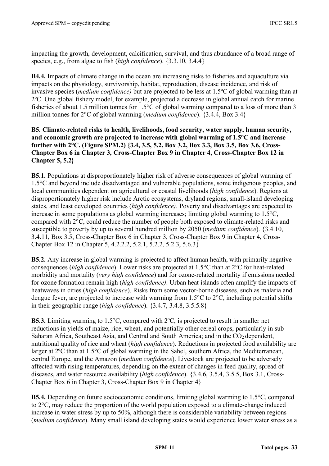impacting the growth, development, calcification, survival, and thus abundance of a broad range of species, e.g., from algae to fish (*high confidence*). {3.3.10, 3.4.4}

**B4.4.** Impacts of climate change in the ocean are increasing risks to fisheries and aquaculture via impacts on the physiology, survivorship, habitat, reproduction, disease incidence, and risk of invasive species (*medium confidence)* but are projected to be less at 1.5ºC of global warming than at 2ºC. One global fishery model, for example, projected a decrease in global annual catch for marine fisheries of about 1.5 million tonnes for 1.5°C of global warming compared to a loss of more than 3 million tonnes for 2°C of global warming (*medium confidence*). {3.4.4, Box 3.4}

#### **B5. Climate-related risks to health, livelihoods, food security, water supply, human security, and economic growth are projected to increase with global warming of 1.5°C and increase further with 2°C. (Figure SPM.2) {3.4, 3.5, 5.2, Box 3.2, Box 3.3, Box 3.5, Box 3.6, Cross-Chapter Box 6 in Chapter 3, Cross-Chapter Box 9 in Chapter 4, Cross-Chapter Box 12 in Chapter 5, 5.2}**

**B5.1.** Populations at disproportionately higher risk of adverse consequences of global warming of 1.5°C and beyond include disadvantaged and vulnerable populations, some indigenous peoples, and local communities dependent on agricultural or coastal livelihoods (*high confidence*). Regions at disproportionately higher risk include Arctic ecosystems, dryland regions, small-island developing states, and least developed countries (*high confidence)*. Poverty and disadvantages are expected to increase in some populations as global warming increases; limiting global warming to 1.5°C, compared with 2°C, could reduce the number of people both exposed to climate-related risks and susceptible to poverty by up to several hundred million by 2050 (*medium confidence*). {3.4.10, 3.4.11, Box 3.5, Cross-Chapter Box 6 in Chapter 3, Cross-Chapter Box 9 in Chapter 4, Cross-Chapter Box 12 in Chapter 5, 4.2.2.2, 5.2.1, 5.2.2, 5.2.3, 5.6.3}

**B5.2.** Any increase in global warming is projected to affect human health, with primarily negative consequences (*high confidence*). Lower risks are projected at 1.5°C than at 2°C for heat-related morbidity and mortality (*very high confidence*) and for ozone-related mortality if emissions needed for ozone formation remain high (*high confidence)*. Urban heat islands often amplify the impacts of heatwaves in cities (*high confidence*). Risks from some vector-borne diseases, such as malaria and dengue fever, are projected to increase with warming from 1.5°C to 2°C, including potential shifts in their geographic range (*high confidence*). {3.4.7, 3.4.8, 3.5.5.8}

**B5.3.** Limiting warming to 1.5°C, compared with 2ºC, is projected to result in smaller net reductions in yields of maize, rice, wheat, and potentially other cereal crops, particularly in sub-Saharan Africa, Southeast Asia, and Central and South America; and in the  $CO<sub>2</sub>$  dependent, nutritional quality of rice and wheat (*high confidence*). Reductions in projected food availability are larger at 2ºC than at 1.5°C of global warming in the Sahel, southern Africa, the Mediterranean, central Europe, and the Amazon (*medium confidence*). Livestock are projected to be adversely affected with rising temperatures, depending on the extent of changes in feed quality, spread of diseases, and water resource availability (*high confidence*). {3.4.6, 3.5.4, 3.5.5, Box 3.1, Cross-Chapter Box 6 in Chapter 3, Cross-Chapter Box 9 in Chapter 4}

**B5.4.** Depending on future socioeconomic conditions, limiting global warming to 1.5°C, compared to 2°C, may reduce the proportion of the world population exposed to a climate-change induced increase in water stress by up to 50%, although there is considerable variability between regions (*medium confidence*). Many small island developing states would experience lower water stress as a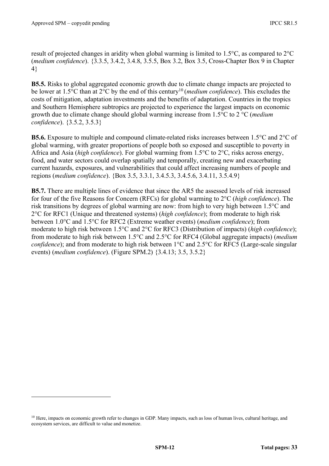result of projected changes in aridity when global warming is limited to 1.5°C, as compared to 2°C (*medium confidence*). {3.3.5, 3.4.2, 3.4.8, 3.5.5, Box 3.2, Box 3.5, Cross-Chapter Box 9 in Chapter 4}

**B5.5.** Risks to global aggregated economic growth due to climate change impacts are projected to be lower at 1.5°C than at 2°C by the end of this century10 (*medium confidence*). This excludes the costs of mitigation, adaptation investments and the benefits of adaptation. Countries in the tropics and Southern Hemisphere subtropics are projected to experience the largest impacts on economic growth due to climate change should global warming increase from 1.5°C to 2 °C (*medium confidence*). {3.5.2, 3.5.3}

**B5.6.** Exposure to multiple and compound climate-related risks increases between 1.5°C and 2°C of global warming, with greater proportions of people both so exposed and susceptible to poverty in Africa and Asia (*high confidence*). For global warming from 1.5°C to 2°C, risks across energy, food, and water sectors could overlap spatially and temporally, creating new and exacerbating current hazards, exposures, and vulnerabilities that could affect increasing numbers of people and regions (*medium confidence*). {Box 3.5, 3.3.1, 3.4.5.3, 3.4.5.6, 3.4.11, 3.5.4.9}

**B5.7.** There are multiple lines of evidence that since the AR5 the assessed levels of risk increased for four of the five Reasons for Concern (RFCs) for global warming to 2°C (*high confidence*). The risk transitions by degrees of global warming are now: from high to very high between 1.5°C and 2°C for RFC1 (Unique and threatened systems) (*high confidence*); from moderate to high risk between 1.0°C and 1.5°C for RFC2 (Extreme weather events) (*medium confidence*); from moderate to high risk between 1.5°C and 2°C for RFC3 (Distribution of impacts) (*high confidence*); from moderate to high risk between 1.5°C and 2.5°C for RFC4 (Global aggregate impacts) (*medium confidence*); and from moderate to high risk between 1°C and 2.5°C for RFC5 (Large-scale singular events) (*medium confidence*). (Figure SPM.2) {3.4.13; 3.5, 3.5.2}

<sup>&</sup>lt;sup>10</sup> Here, impacts on economic growth refer to changes in GDP. Many impacts, such as loss of human lives, cultural heritage, and ecosystem services, are difficult to value and monetize.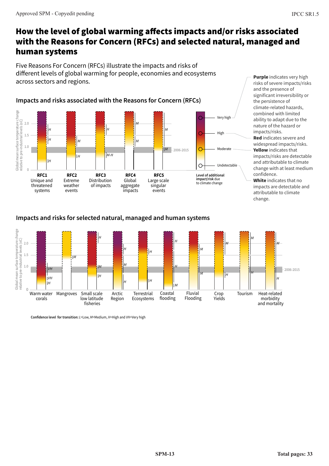### How the level of global warming affects impacts and/or risks associated with the Reasons for Concern (RFCs) and selected natural, managed and human systems

Five Reasons For Concern (RFCs) illustrate the impacts and risks of different levels of global warming for people, economies and ecosystems across sectors and regions.



**Purple** indicates very high risks of severe impacts/risks and the presence of significant irreversibility or the persistence of climate-related hazards, combined with limited ability to adapt due to the nature of the hazard or impacts/risks. Red indicates severe and widespread impacts/risks. Yellow indicates that impacts/risks are detectable and attributable to climate change with at least medium confidence.

White indicates that no impacts are detectable and attributable to climate change.

## **Impacts and risks for selected natural, managed and human systems**



**Confidence level for transition:** *L*=Low, *M*=Medium, *H*=High and *VH*=Very high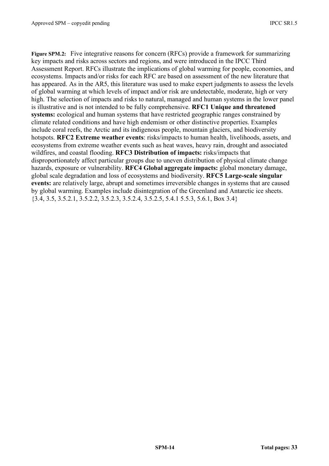**Figure SPM.2:** Five integrative reasons for concern (RFCs) provide a framework for summarizing key impacts and risks across sectors and regions, and were introduced in the IPCC Third Assessment Report. RFCs illustrate the implications of global warming for people, economies, and ecosystems. Impacts and/or risks for each RFC are based on assessment of the new literature that has appeared. As in the AR5, this literature was used to make expert judgments to assess the levels of global warming at which levels of impact and/or risk are undetectable, moderate, high or very high. The selection of impacts and risks to natural, managed and human systems in the lower panel is illustrative and is not intended to be fully comprehensive. **RFC1 Unique and threatened systems:** ecological and human systems that have restricted geographic ranges constrained by climate related conditions and have high endemism or other distinctive properties. Examples include coral reefs, the Arctic and its indigenous people, mountain glaciers, and biodiversity hotspots. **RFC2 Extreme weather events**: risks/impacts to human health, livelihoods, assets, and ecosystems from extreme weather events such as heat waves, heavy rain, drought and associated wildfires, and coastal flooding. **RFC3 Distribution of impacts:** risks/impacts that disproportionately affect particular groups due to uneven distribution of physical climate change hazards, exposure or vulnerability. **RFC4 Global aggregate impacts:** global monetary damage, global scale degradation and loss of ecosystems and biodiversity. **RFC5 Large-scale singular events:** are relatively large, abrupt and sometimes irreversible changes in systems that are caused by global warming. Examples include disintegration of the Greenland and Antarctic ice sheets. {3.4, 3.5, 3.5.2.1, 3.5.2.2, 3.5.2.3, 3.5.2.4, 3.5.2.5, 5.4.1 5.5.3, 5.6.1, Box 3.4}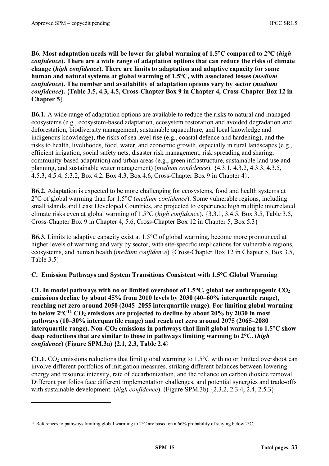**B6. Most adaptation needs will be lower for global warming of 1.5°C compared to 2°C (***high confidence***). There are a wide range of adaptation options that can reduce the risks of climate change (***high confidence***). There are limits to adaptation and adaptive capacity for some human and natural systems at global warming of 1.5°C, with associated losses (***medium confidence***). The number and availability of adaptation options vary by sector (***medium confidence***). {Table 3.5, 4.3, 4.5, Cross-Chapter Box 9 in Chapter 4, Cross-Chapter Box 12 in Chapter 5}** 

**B6.1.** A wide range of adaptation options are available to reduce the risks to natural and managed ecosystems (e.g., ecosystem-based adaptation, ecosystem restoration and avoided degradation and deforestation, biodiversity management, sustainable aquaculture, and local knowledge and indigenous knowledge), the risks of sea level rise (e.g., coastal defence and hardening), and the risks to health, livelihoods, food, water, and economic growth, especially in rural landscapes (e.g., efficient irrigation, social safety nets, disaster risk management, risk spreading and sharing, community-based adaptation) and urban areas (e.g., green infrastructure, sustainable land use and planning, and sustainable water management) (*medium confidence*). {4.3.1, 4.3.2, 4.3.3, 4.3.5, 4.5.3, 4.5.4, 5.3.2, Box 4.2, Box 4.3, Box 4.6, Cross-Chapter Box 9 in Chapter 4}.

**B6.2.** Adaptation is expected to be more challenging for ecosystems, food and health systems at 2°C of global warming than for 1.5°C (*medium confidence*). Some vulnerable regions, including small islands and Least Developed Countries, are projected to experience high multiple interrelated climate risks even at global warming of 1.5°C (*high confidence*). {3.3.1, 3.4.5, Box 3.5, Table 3.5, Cross-Chapter Box 9 in Chapter 4, 5.6, Cross-Chapter Box 12 in Chapter 5, Box 5.3}

**B6.3.** Limits to adaptive capacity exist at 1.5°C of global warming, become more pronounced at higher levels of warming and vary by sector, with site-specific implications for vulnerable regions, ecosystems, and human health (*medium confidence*) {Cross-Chapter Box 12 in Chapter 5, Box 3.5, Table 3.5}

#### **C. Emission Pathways and System Transitions Consistent with 1.5°C Global Warming**

**C1. In model pathways with no or limited overshoot of 1.5°C, global net anthropogenic CO2 emissions decline by about 45% from 2010 levels by 2030 (40–60% interquartile range), reaching net zero around 2050 (2045–2055 interquartile range). For limiting global warming**  to below  $2^{\circ}C^{11}$  CO<sub>2</sub> emissions are projected to decline by about  $20\%$  by  $2030$  in most **pathways (10–30% interquartile range) and reach net zero around 2075 (2065–2080** interquartile range). Non-CO<sub>2</sub> emissions in pathways that limit global warming to 1.5<sup>o</sup>C show **deep reductions that are similar to those in pathways limiting warming to 2°C. (***high confidence***) (Figure SPM.3a) {2.1, 2.3, Table 2.4}** 

**C1.1.** CO<sub>2</sub> emissions reductions that limit global warming to  $1.5^{\circ}$ C with no or limited overshoot can involve different portfolios of mitigation measures, striking different balances between lowering energy and resource intensity, rate of decarbonization, and the reliance on carbon dioxide removal. Different portfolios face different implementation challenges, and potential synergies and trade-offs with sustainable development. (*high confidence*). (Figure SPM.3b) {2.3.2, 2.3.4, 2.4, 2.5.3}

<sup>&</sup>lt;sup>11</sup> References to pathways limiting global warming to  $2^{\circ}$ C are based on a 66% probability of staying below  $2^{\circ}$ C.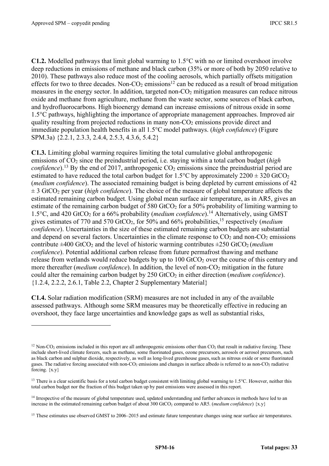**C1.2.** Modelled pathways that limit global warming to 1.5°C with no or limited overshoot involve deep reductions in emissions of methane and black carbon (35% or more of both by 2050 relative to 2010). These pathways also reduce most of the cooling aerosols, which partially offsets mitigation effects for two to three decades. Non- $CO<sub>2</sub>$  emissions<sup>12</sup> can be reduced as a result of broad mitigation measures in the energy sector. In addition, targeted non- $CO<sub>2</sub>$  mitigation measures can reduce nitrous oxide and methane from agriculture, methane from the waste sector, some sources of black carbon, and hydrofluorocarbons. High bioenergy demand can increase emissions of nitrous oxide in some 1.5°C pathways, highlighting the importance of appropriate management approaches. Improved air quality resulting from projected reductions in many non- $CO<sub>2</sub>$  emissions provide direct and immediate population health benefits in all 1.5°C model pathways. (*high confidence*) (Figure SPM.3a) {2.2.1, 2.3.3, 2.4.4, 2.5.3, 4.3.6, 5.4.2}

**C1.3.** Limiting global warming requires limiting the total cumulative global anthropogenic emissions of CO2 since the preindustrial period, i.e. staying within a total carbon budget (*high confidence*).<sup>13</sup> By the end of 2017, anthropogenic  $CO_2$  emissions since the preindustrial period are estimated to have reduced the total carbon budget for 1.5°C by approximately  $2200 \pm 320$  GtCO<sub>2</sub> (*medium confidence*). The associated remaining budget is being depleted by current emissions of 42  $\pm$  3 GtCO<sub>2</sub> per year (*high confidence*). The choice of the measure of global temperature affects the estimated remaining carbon budget. Using global mean surface air temperature, as in AR5, gives an estimate of the remaining carbon budget of 580 GtCO<sub>2</sub> for a 50% probability of limiting warming to 1.5°C, and 420 GtCO<sub>2</sub> for a 66% probability (*medium confidence*).<sup>14</sup> Alternatively, using GMST gives estimates of 770 and 570 GtCO2, for 50% and 66% probabilities,15 respectively (*medium confidence*). Uncertainties in the size of these estimated remaining carbon budgets are substantial and depend on several factors. Uncertainties in the climate response to  $CO<sub>2</sub>$  and non- $CO<sub>2</sub>$  emissions contribute  $\pm 400$  GtCO<sub>2</sub> and the level of historic warming contributes  $\pm 250$  GtCO<sub>2</sub> (*medium*) *confidence*). Potential additional carbon release from future permafrost thawing and methane release from wetlands would reduce budgets by up to  $100 \text{ GtCO}_2$  over the course of this century and more thereafter *(medium confidence)*. In addition, the level of non-CO<sub>2</sub> mitigation in the future could alter the remaining carbon budget by 250 GtCO<sub>2</sub> in either direction (*medium confidence*). {1.2.4, 2.2.2, 2.6.1, Table 2.2, Chapter 2 Supplementary Material}

**C1.4.** Solar radiation modification (SRM) measures are not included in any of the available assessed pathways. Although some SRM measures may be theoretically effective in reducing an overshoot, they face large uncertainties and knowledge gaps as well as substantial risks,

 $12$  Non-CO<sub>2</sub> emissions included in this report are all anthropogenic emissions other than CO<sub>2</sub> that result in radiative forcing. These include short-lived climate forcers, such as methane, some fluorinated gases, ozone precursors, aerosols or aerosol precursors, such as black carbon and sulphur dioxide, respectively, as well as long-lived greenhouse gases, such as nitrous oxide or some fluorinated gases. The radiative forcing associated with non- $CO<sub>2</sub>$  emissions and changes in surface albedo is referred to as non- $CO<sub>2</sub>$  radiative forcing.  $\{x,y\}$ 

<sup>&</sup>lt;sup>13</sup> There is a clear scientific basis for a total carbon budget consistent with limiting global warming to 1.5°C. However, neither this total carbon budget nor the fraction of this budget taken up by past emissions were assessed in this report.

<sup>&</sup>lt;sup>14</sup> Irrespective of the measure of global temperature used, updated understanding and further advances in methods have led to an increase in the estimated remaining carbon budget of about 300 GtCO<sub>2</sub> compared to AR5. (*medium confidence*)  $\{x,y\}$ 

<sup>&</sup>lt;sup>15</sup> These estimates use observed GMST to 2006–2015 and estimate future temperature changes using near surface air temperatures.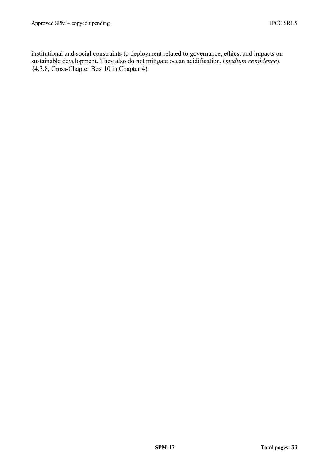institutional and social constraints to deployment related to governance, ethics, and impacts on sustainable development. They also do not mitigate ocean acidification. (*medium confidence*). {4.3.8, Cross-Chapter Box 10 in Chapter 4}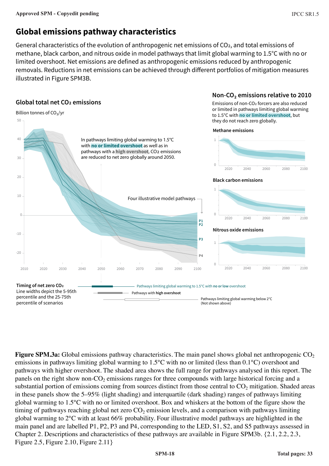## **Global emissions pathway characteristics**

General characteristics of the evolution of anthropogenic net emissions of CO2, and total emissions of methane, black carbon, and nitrous oxide in model pathways that limit global warming to 1.5°C with no or limited overshoot. Net emissions are defined as anthropogenic emissions reduced by anthropogenic removals. Reductions in net emissions can be achieved through different portfolios of mitigation measures illustrated in Figure SPM3B.



**Figure SPM.3a:** Global emissions pathway characteristics. The main panel shows global net anthropogenic CO<sub>2</sub> emissions in pathways limiting global warming to 1.5°C with no or limited (less than 0.1°C) overshoot and pathways with higher overshoot. The shaded area shows the full range for pathways analysed in this report. The panels on the right show non- $CO<sub>2</sub>$  emissions ranges for three compounds with large historical forcing and a substantial portion of emissions coming from sources distinct from those central to  $CO<sub>2</sub>$  mitigation. Shaded areas in these panels show the 5–95% (light shading) and interquartile (dark shading) ranges of pathways limiting global warming to 1.5°C with no or limited overshoot. Box and whiskers at the bottom of the figure show the timing of pathways reaching global net zero  $CO<sub>2</sub>$  emission levels, and a comparison with pathways limiting global warming to 2°C with at least 66% probability. Four illustrative model pathways are highlighted in the main panel and are labelled P1, P2, P3 and P4, corresponding to the LED, S1, S2, and S5 pathways assessed in Chapter 2. Descriptions and characteristics of these pathways are available in Figure SPM3b. {2.1, 2.2, 2.3, Figure 2.5, Figure 2.10, Figure 2.11}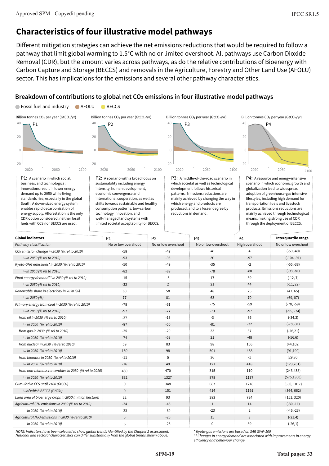CDR option considered; neither fossil fuels with CCS nor BECCS are used.

## **Characteristics of four illustrative model pathways**

well-managed land systems with limited societal acceptability for BECCS.

Different mitigation strategies can achieve the net emissions reductions that would be required to follow a pathway that limit global warming to 1.5°C with no or limited overshoot. All pathways use Carbon Dioxide Removal (CDR), but the amount varies across pathways, as do the relative contributions of Bioenergy with Carbon Capture and Storage (BECCS) and removals in the Agriculture, Forestry and Other Land Use (AFOLU) sector. This has implications for the emissions and several other pathway characteristics.

#### **Breakdown of contributions to global net CO2 emissions in four illustrative model pathways**



No or low overshoot -58 -93 -50 -82 -15 -32  $60$ 77 -78 -97 -37 -87 -25 -74 59 150 -11 -16 430 832  $\overline{0}$ 0 22 -24 -33 5 6 *Pathway classification CO2 emission change in 2030 (% rel to 2010) in 2050 (% rel to 2010) Kyoto-GHG emissions\* in 2030 (% rel to 2010) in 2050 (% rel to 2010) Final energy demand\*\* in 2030 (% rel to 2010) in 2050 (% rel to 2010) Renewable share in electricity in 2030 (%) in 2050 (%) Primary energy from coal in 2030 (% rel to 2010) in 2050 (% rel to 2010) from oil in 2030 (% rel to 2010) in 2050 (% rel to 2010) from gas in 2030 (% rel to 2010) in 2050 (% rel to 2010) from nuclear in 2030 (% rel to 2010) in 2050 (% rel to 2010) from biomass in 2030 (% rel to 2010) in 2050 (% rel to 2010) from non-biomass renewables in 2030 (% rel to 2010) in 2050 (% rel to 2010) Cumulative CCS until 2100 (GtCO2) of which BECCS (GtCO2) Land area of bioenergy crops in 2050 (million hectare) Agricultural CH4 emissions in 2030 (% rel to 2010) in 2050 (% rel to 2010) Agricultural N2O emissions in 2030 (% rel to 2010) in 2050 (% rel to 2010)* No or low overshoot -47 -95 -49 -89 -5 2 58 81 -61 -77 -13 -50 -20 -53 83 98  $\overline{0}$ 49 470 1327 348 151 93 -48 -69 -26 -26 No or low overshoot -41 -91 -35 -78 17 21 48 63 -75 -73 -3 -81 33 21 98 501 36 121 315 878 687 414 283 1 -23 15 0 High overshoot 4 -97 -2 -80 39 44 25 70 -59 -97 86 -32 37 -48 106 468 -1 418 110 1137 1218 1191 724 14  $\overline{2}$ 3 39 No or low overshoot  $(-59,-40)$ (-104,-91) (-55,-38) (-93,-81) (-12, 7) (-11, 22) (47, 65) (69, 87) (-78, -59) (-95, -74) (-34,3) (-78,-31) (-26,21) (-56,6) (44,102) (91,190) (29,80) (123,261) (243,438) (575,1300) (550, 1017) (364, 662) (151, 320) (-30,-11) (-46,-23) (-21,4) (-26,1) P1 P2 P3 P4 **Interquartile range Global indicators**

*NOTE: Indicators have been selected to show global trends identified by the Chapter 2 assessment. National and sectoral characteristics can differ substantially from the global trends shown above.*

*\* Kyoto-gas emissions are based on SAR GWP-100*

*\*\* Changes in energy demand are associated with improvements in energy efficiency and behaviour change*

means, making strong use of CDR through the deployment of BECCS.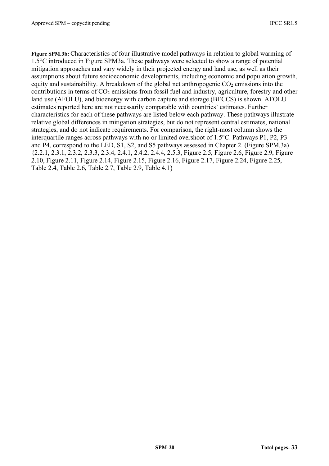**Figure SPM.3b:** Characteristics of four illustrative model pathways in relation to global warming of 1.5°C introduced in Figure SPM3a. These pathways were selected to show a range of potential mitigation approaches and vary widely in their projected energy and land use, as well as their assumptions about future socioeconomic developments, including economic and population growth, equity and sustainability. A breakdown of the global net anthropogenic  $CO<sub>2</sub>$  emissions into the contributions in terms of  $CO<sub>2</sub>$  emissions from fossil fuel and industry, agriculture, forestry and other land use (AFOLU), and bioenergy with carbon capture and storage (BECCS) is shown. AFOLU estimates reported here are not necessarily comparable with countries' estimates. Further characteristics for each of these pathways are listed below each pathway. These pathways illustrate relative global differences in mitigation strategies, but do not represent central estimates, national strategies, and do not indicate requirements. For comparison, the right-most column shows the interquartile ranges across pathways with no or limited overshoot of 1.5°C. Pathways P1, P2, P3 and P4, correspond to the LED, S1, S2, and S5 pathways assessed in Chapter 2. (Figure SPM.3a) {2.2.1, 2.3.1, 2.3.2, 2.3.3, 2.3.4, 2.4.1, 2.4.2, 2.4.4, 2.5.3, Figure 2.5, Figure 2.6, Figure 2.9, Figure 2.10, Figure 2.11, Figure 2.14, Figure 2.15, Figure 2.16, Figure 2.17, Figure 2.24, Figure 2.25, Table 2.4, Table 2.6, Table 2.7, Table 2.9, Table 4.1}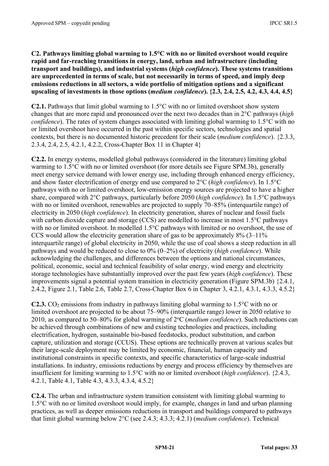**C2. Pathways limiting global warming to 1.5°C with no or limited overshoot would require rapid and far-reaching transitions in energy, land, urban and infrastructure (including transport and buildings), and industrial systems (***high confidence***). These systems transitions are unprecedented in terms of scale, but not necessarily in terms of speed, and imply deep emissions reductions in all sectors, a wide portfolio of mitigation options and a significant upscaling of investments in those options (***medium confidence***). {2.3, 2.4, 2.5, 4.2, 4.3, 4.4, 4.5}**

**C2.1.** Pathways that limit global warming to 1.5°C with no or limited overshoot show system changes that are more rapid and pronounced over the next two decades than in 2°C pathways (*high confidence*). The rates of system changes associated with limiting global warming to 1.5<sup>o</sup>C with no or limited overshoot have occurred in the past within specific sectors, technologies and spatial contexts, but there is no documented historic precedent for their scale (*medium confidence*). {2.3.3, 2.3.4, 2.4, 2.5, 4.2.1, 4.2.2, Cross-Chapter Box 11 in Chapter 4}

**C2.2.** In energy systems, modelled global pathways (considered in the literature) limiting global warming to 1.5°C with no or limited overshoot (for more details see Figure SPM.3b), generally meet energy service demand with lower energy use, including through enhanced energy efficiency, and show faster electrification of energy end use compared to 2°C (*high confidence*). In 1.5°C pathways with no or limited overshoot, low-emission energy sources are projected to have a higher share, compared with 2°C pathways, particularly before 2050 (*high confidence*). In 1.5°C pathways with no or limited overshoot, renewables are projected to supply 70–85% (interquartile range) of electricity in 2050 (*high confidence*). In electricity generation, shares of nuclear and fossil fuels with carbon dioxide capture and storage (CCS) are modelled to increase in most 1.5<sup>o</sup>C pathways with no or limited overshoot. In modelled 1.5°C pathways with limited or no overshoot, the use of CCS would allow the electricity generation share of gas to be approximately 8% (3–11% interquartile range) of global electricity in 2050, while the use of coal shows a steep reduction in all pathways and would be reduced to close to 0% (0–2%) of electricity (*high confidence*). While acknowledging the challenges, and differences between the options and national circumstances, political, economic, social and technical feasibility of solar energy, wind energy and electricity storage technologies have substantially improved over the past few years (*high confidence*). These improvements signal a potential system transition in electricity generation (Figure SPM.3b) {2.4.1, 2.4.2, Figure 2.1, Table 2.6, Table 2.7, Cross-Chapter Box 6 in Chapter 3, 4.2.1, 4.3.1, 4.3.3, 4.5.2}

**C2.3.** CO<sub>2</sub> emissions from industry in pathways limiting global warming to  $1.5^{\circ}$ C with no or limited overshoot are projected to be about 75–90% (interquartile range) lower in 2050 relative to 2010, as compared to 50–80% for global warming of 2oC (*medium confidence*). Such reductions can be achieved through combinations of new and existing technologies and practices, including electrification, hydrogen, sustainable bio-based feedstocks, product substitution, and carbon capture, utilization and storage (CCUS). These options are technically proven at various scales but their large-scale deployment may be limited by economic, financial, human capacity and institutional constraints in specific contexts, and specific characteristics of large-scale industrial installations. In industry, emissions reductions by energy and process efficiency by themselves are insufficient for limiting warming to 1.5°C with no or limited overshoot (*high confidence*). {2.4.3, 4.2.1, Table 4.1, Table 4.3, 4.3.3, 4.3.4, 4.5.2}

**C2.4.** The urban and infrastructure system transition consistent with limiting global warming to 1.5°C with no or limited overshoot would imply, for example, changes in land and urban planning practices, as well as deeper emissions reductions in transport and buildings compared to pathways that limit global warming below 2°C (see 2.4.3; 4.3.3; 4.2.1) (*medium confidence*). Technical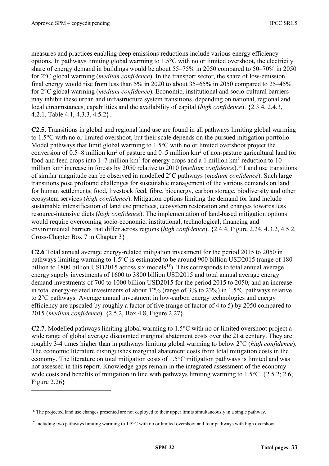measures and practices enabling deep emissions reductions include various energy efficiency options. In pathways limiting global warming to 1.5°C with no or limited overshoot, the electricity share of energy demand in buildings would be about 55–75% in 2050 compared to 50–70% in 2050 for 2°C global warming (*medium confidence*). In the transport sector, the share of low-emission final energy would rise from less than 5% in 2020 to about 35–65% in 2050 compared to 25–45% for 2°C global warming (*medium confidence*). Economic, institutional and socio-cultural barriers may inhibit these urban and infrastructure system transitions, depending on national, regional and local circumstances, capabilities and the availability of capital (*high confidence*). {2.3.4, 2.4.3, 4.2.1, Table 4.1, 4.3.3, 4.5.2}.

**C2.5.** Transitions in global and regional land use are found in all pathways limiting global warming to 1.5°C with no or limited overshoot, but their scale depends on the pursued mitigation portfolio. Model pathways that limit global warming to 1.5<sup>o</sup>C with no or limited overshoot project the conversion of 0.5–8 million km2 of pasture and 0–5 million km2 of non-pasture agricultural land for food and feed crops into  $1-7$  million km<sup>2</sup> for energy crops and a 1 million km<sup>2</sup> reduction to 10 million km2 increase in forests by 2050 relative to 2010 (*medium confidence*).16 Land use transitions of similar magnitude can be observed in modelled 2°C pathways (*medium confidence*). Such large transitions pose profound challenges for sustainable management of the various demands on land for human settlements, food, livestock feed, fibre, bioenergy, carbon storage, biodiversity and other ecosystem services (*high confidence*). Mitigation options limiting the demand for land include sustainable intensification of land use practices, ecosystem restoration and changes towards less resource-intensive diets (*high confidence*). The implementation of land-based mitigation options would require overcoming socio-economic, institutional, technological, financing and environmental barriers that differ across regions (*high confidence*). {2.4.4, Figure 2.24, 4.3.2, 4.5.2, Cross-Chapter Box 7 in Chapter 3}

**C2.6** Total annual average energy-related mitigation investment for the period 2015 to 2050 in pathways limiting warming to 1.5°C is estimated to be around 900 billion USD2015 (range of 180 billion to 1800 billion USD2015 across six models<sup>17</sup>). This corresponds to total annual average energy supply investments of 1600 to 3800 billion USD2015 and total annual average energy demand investments of 700 to 1000 billion USD2015 for the period 2015 to 2050, and an increase in total energy-related investments of about 12% (range of 3% to 23%) in 1.5°C pathways relative to 2°C pathways. Average annual investment in low-carbon energy technologies and energy efficiency are upscaled by roughly a factor of five (range of factor of 4 to 5) by 2050 compared to 2015 (*medium confidence*). {2.5.2, Box 4.8, Figure 2.27}

**C2.7.** Modelled pathways limiting global warming to 1.5°C with no or limited overshoot project a wide range of global average discounted marginal abatement costs over the 21st century. They are roughly 3-4 times higher than in pathways limiting global warming to below 2°C (*high confidence*). The economic literature distinguishes marginal abatement costs from total mitigation costs in the economy. The literature on total mitigation costs of 1.5°C mitigation pathways is limited and was not assessed in this report. Knowledge gaps remain in the integrated assessment of the economy wide costs and benefits of mitigation in line with pathways limiting warming to 1.5°C. {2.5.2; 2.6; Figure 2.26}

<sup>&</sup>lt;sup>16</sup> The projected land use changes presented are not deployed to their upper limits simultaneously in a single pathway.

<sup>&</sup>lt;sup>17</sup> Including two pathways limiting warming to 1.5°C with no or limited overshoot and four pathways with high overshoot.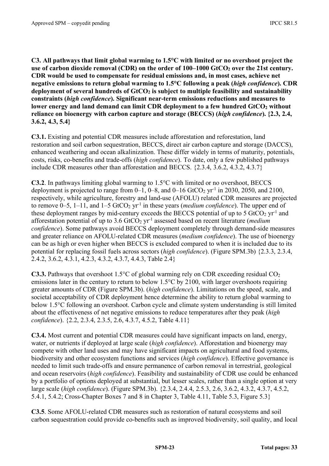**C3. All pathways that limit global warming to 1.5°C with limited or no overshoot project the**  use of carbon dioxide removal (CDR) on the order of 100–1000 GtCO<sub>2</sub> over the 21st century. **CDR would be used to compensate for residual emissions and, in most cases, achieve net negative emissions to return global warming to 1.5°C following a peak (***high confidence***). CDR**  deployment of several hundreds of GtCO<sub>2</sub> is subject to multiple feasibility and sustainability **constraints (***high confidence***). Significant near-term emissions reductions and measures to**  lower energy and land demand can limit CDR deployment to a few hundred GtCO<sub>2</sub> without **reliance on bioenergy with carbon capture and storage (BECCS) (***high confidence***). {2.3, 2.4, 3.6.2, 4.3, 5.4}** 

**C3.1.** Existing and potential CDR measures include afforestation and reforestation, land restoration and soil carbon sequestration, BECCS, direct air carbon capture and storage (DACCS), enhanced weathering and ocean alkalinization. These differ widely in terms of maturity, potentials, costs, risks, co-benefits and trade-offs (*high confidence*). To date, only a few published pathways include CDR measures other than afforestation and BECCS. {2.3.4, 3.6.2, 4.3.2, 4.3.7}

**C3.2**. In pathways limiting global warming to 1.5°C with limited or no overshoot, BECCS deployment is projected to range from  $0-1$ ,  $0-8$ , and  $0-16$  GtCO<sub>2</sub> yr<sup>-1</sup> in 2030, 2050, and 2100, respectively, while agriculture, forestry and land-use (AFOLU) related CDR measures are projected to remove  $0-5$ ,  $1-11$ , and  $1-5$  GtCO<sub>2</sub> yr<sup>-1</sup> in these years (*medium confidence*). The upper end of these deployment ranges by mid-century exceeds the BECCS potential of up to 5 GtCO<sub>2</sub> yr<sup>-1</sup> and afforestation potential of up to 3.6 GtCO2 yr-1 assessed based on recent literature (*medium confidence*). Some pathways avoid BECCS deployment completely through demand-side measures and greater reliance on AFOLU-related CDR measures (*medium confidence*). The use of bioenergy can be as high or even higher when BECCS is excluded compared to when it is included due to its potential for replacing fossil fuels across sectors (*high confidence*). (Figure SPM.3b) {2.3.3, 2.3.4, 2.4.2, 3.6.2, 4.3.1, 4.2.3, 4.3.2, 4.3.7, 4.4.3, Table 2.4}

**C3.3.** Pathways that overshoot 1.5 $^{\circ}$ C of global warming rely on CDR exceeding residual CO<sub>2</sub> emissions later in the century to return to below 1.5°C by 2100, with larger overshoots requiring greater amounts of CDR (Figure SPM.3b). (*high confidence*). Limitations on the speed, scale, and societal acceptability of CDR deployment hence determine the ability to return global warming to below 1.5°C following an overshoot. Carbon cycle and climate system understanding is still limited about the effectiveness of net negative emissions to reduce temperatures after they peak (*high confidence*). {2.2, 2.3.4, 2.3.5, 2.6, 4.3.7, 4.5.2, Table 4.11}

**C3.4.** Most current and potential CDR measures could have significant impacts on land, energy, water, or nutrients if deployed at large scale (*high confidence*). Afforestation and bioenergy may compete with other land uses and may have significant impacts on agricultural and food systems, biodiversity and other ecosystem functions and services (*high confidence*). Effective governance is needed to limit such trade-offs and ensure permanence of carbon removal in terrestrial, geological and ocean reservoirs (*high confidence*). Feasibility and sustainability of CDR use could be enhanced by a portfolio of options deployed at substantial, but lesser scales, rather than a single option at very large scale (*high confidence*). (Figure SPM.3b). {2.3.4, 2.4.4, 2.5.3, 2.6, 3.6.2, 4.3.2, 4.3.7, 4.5.2, 5.4.1, 5.4.2; Cross-Chapter Boxes 7 and 8 in Chapter 3, Table 4.11, Table 5.3, Figure 5.3}

**C3.5**. Some AFOLU-related CDR measures such as restoration of natural ecosystems and soil carbon sequestration could provide co-benefits such as improved biodiversity, soil quality, and local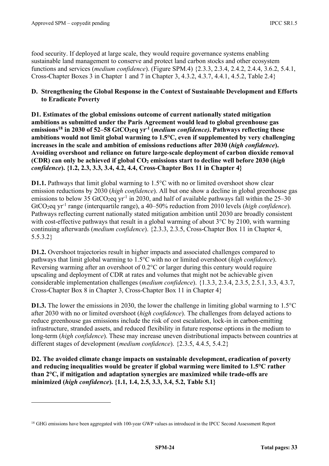food security. If deployed at large scale, they would require governance systems enabling sustainable land management to conserve and protect land carbon stocks and other ecosystem functions and services (*medium confidence*). (Figure SPM.4) {2.3.3, 2.3.4, 2.4.2, 2.4.4, 3.6.2, 5.4.1, Cross-Chapter Boxes 3 in Chapter 1 and 7 in Chapter 3, 4.3.2, 4.3.7, 4.4.1, 4.5.2, Table 2.4}

#### **D. Strengthening the Global Response in the Context of Sustainable Development and Efforts to Eradicate Poverty**

**D1. Estimates of the global emissions outcome of current nationally stated mitigation ambitions as submitted under the Paris Agreement would lead to global greenhouse gas emissions**<sup>18</sup> in 2030 of 52–58 GtCO<sub>2</sub>eq yr<sup>-1</sup> (*medium confidence*). Pathways reflecting these **ambitions would not limit global warming to 1.5°C, even if supplemented by very challenging increases in the scale and ambition of emissions reductions after 2030 (***high confidence***). Avoiding overshoot and reliance on future large-scale deployment of carbon dioxide removal (CDR) can only be achieved if global CO2 emissions start to decline well before 2030 (***high confidence***). {1.2, 2.3, 3.3, 3.4, 4.2, 4.4, Cross-Chapter Box 11 in Chapter 4}**

**D1.1.** Pathways that limit global warming to 1.5<sup>o</sup>C with no or limited overshoot show clear emission reductions by 2030 (*high confidence*). All but one show a decline in global greenhouse gas emissions to below 35 GtCO<sub>2</sub>eq yr<sup>-1</sup> in 2030, and half of available pathways fall within the  $25-30$ GtCO<sub>2</sub>eq yr<sup>-1</sup> range (interquartile range), a 40–50% reduction from 2010 levels (*high confidence*). Pathways reflecting current nationally stated mitigation ambition until 2030 are broadly consistent with cost-effective pathways that result in a global warming of about 3<sup>o</sup>C by 2100, with warming continuing afterwards (*medium confidence*). {2.3.3, 2.3.5, Cross-Chapter Box 11 in Chapter 4, 5.5.3.2}

**D1.2.** Overshoot trajectories result in higher impacts and associated challenges compared to pathways that limit global warming to 1.5°C with no or limited overshoot (*high confidence*). Reversing warming after an overshoot of 0.2°C or larger during this century would require upscaling and deployment of CDR at rates and volumes that might not be achievable given considerable implementation challenges (*medium confidence*). {1.3.3, 2.3.4, 2.3.5, 2.5.1, 3.3, 4.3.7, Cross-Chapter Box 8 in Chapter 3, Cross-Chapter Box 11 in Chapter 4}

**D1.3.** The lower the emissions in 2030, the lower the challenge in limiting global warming to 1.5°C after 2030 with no or limited overshoot (*high confidence*). The challenges from delayed actions to reduce greenhouse gas emissions include the risk of cost escalation, lock-in in carbon-emitting infrastructure, stranded assets, and reduced flexibility in future response options in the medium to long-term (*high confidence*). These may increase uneven distributional impacts between countries at different stages of development (*medium confidence*). {2.3.5, 4.4.5, 5.4.2}

**D2. The avoided climate change impacts on sustainable development, eradication of poverty and reducing inequalities would be greater if global warming were limited to 1.5°C rather than 2°C, if mitigation and adaptation synergies are maximized while trade-offs are minimized (***high confidence***). {1.1, 1.4, 2.5, 3.3, 3.4, 5.2, Table 5.1}**

<sup>&</sup>lt;sup>18</sup> GHG emissions have been aggregated with 100-year GWP values as introduced in the IPCC Second Assessment Report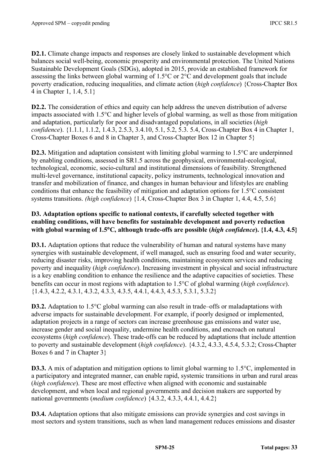**D2.1.** Climate change impacts and responses are closely linked to sustainable development which balances social well-being, economic prosperity and environmental protection. The United Nations Sustainable Development Goals (SDGs), adopted in 2015, provide an established framework for assessing the links between global warming of 1.5°C or 2°C and development goals that include poverty eradication, reducing inequalities, and climate action (*high confidence*) {Cross-Chapter Box 4 in Chapter 1, 1.4, 5.1}

**D2.2.** The consideration of ethics and equity can help address the uneven distribution of adverse impacts associated with 1.5°C and higher levels of global warming, as well as those from mitigation and adaptation, particularly for poor and disadvantaged populations, in all societies (*high confidence*). {1.1.1, 1.1.2, 1.4.3, 2.5.3, 3.4.10, 5.1, 5.2, 5.3. 5.4, Cross-Chapter Box 4 in Chapter 1, Cross-Chapter Boxes 6 and 8 in Chapter 3, and Cross-Chapter Box 12 in Chapter 5}

**D2.3.** Mitigation and adaptation consistent with limiting global warming to 1.5°C are underpinned by enabling conditions, assessed in SR1.5 across the geophysical, environmental-ecological, technological, economic, socio-cultural and institutional dimensions of feasibility. Strengthened multi-level governance, institutional capacity, policy instruments, technological innovation and transfer and mobilization of finance, and changes in human behaviour and lifestyles are enabling conditions that enhance the feasibility of mitigation and adaptation options for 1.5°C consistent systems transitions. *(high confidence*) {1.4, Cross-Chapter Box 3 in Chapter 1, 4.4, 4.5, 5.6}

#### **D3. Adaptation options specific to national contexts, if carefully selected together with enabling conditions, will have benefits for sustainable development and poverty reduction with global warming of 1.5**°**C, although trade-offs are possible (***high confidence***). {1.4, 4.3, 4.5}**

**D3.1.** Adaptation options that reduce the vulnerability of human and natural systems have many synergies with sustainable development, if well managed, such as ensuring food and water security, reducing disaster risks, improving health conditions, maintaining ecosystem services and reducing poverty and inequality (*high confidence*). Increasing investment in physical and social infrastructure is a key enabling condition to enhance the resilience and the adaptive capacities of societies. These benefits can occur in most regions with adaptation to 1.5°C of global warming (*high confidence*). {1.4.3, 4.2.2, 4.3.1, 4.3.2, 4.3.3, 4.3.5, 4.4.1, 4.4.3, 4.5.3, 5.3.1, 5.3.2}

**D3.2.** Adaptation to 1.5<sup>o</sup>C global warming can also result in trade–offs or maladaptations with adverse impacts for sustainable development. For example, if poorly designed or implemented, adaptation projects in a range of sectors can increase greenhouse gas emissions and water use, increase gender and social inequality, undermine health conditions, and encroach on natural ecosystems (*high confidence*). These trade-offs can be reduced by adaptations that include attention to poverty and sustainable development (*high confidence*). {4.3.2, 4.3.3, 4.5.4, 5.3.2; Cross-Chapter Boxes 6 and 7 in Chapter 3}

**D3.3.** A mix of adaptation and mitigation options to limit global warming to 1.5<sup>o</sup>C, implemented in a participatory and integrated manner, can enable rapid, systemic transitions in urban and rural areas (*high confidence*). These are most effective when aligned with economic and sustainable development, and when local and regional governments and decision makers are supported by national governments (*medium confidence*) {4.3.2, 4.3.3, 4.4.1, 4.4.2}

**D3.4.** Adaptation options that also mitigate emissions can provide synergies and cost savings in most sectors and system transitions, such as when land management reduces emissions and disaster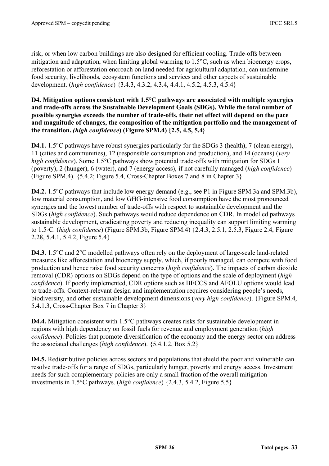risk, or when low carbon buildings are also designed for efficient cooling. Trade-offs between mitigation and adaptation, when limiting global warming to 1.5°C, such as when bioenergy crops, reforestation or afforestation encroach on land needed for agricultural adaptation, can undermine food security, livelihoods, ecosystem functions and services and other aspects of sustainable development. (*high confidence*) {3.4.3, 4.3.2, 4.3.4, 4.4.1, 4.5.2, 4.5.3, 4.5.4}

#### **D4. Mitigation options consistent with 1.5°C pathways are associated with multiple synergies and trade-offs across the Sustainable Development Goals (SDGs). While the total number of possible synergies exceeds the number of trade-offs, their net effect will depend on the pace and magnitude of changes, the composition of the mitigation portfolio and the management of the transition.** *(high confidence***) (Figure SPM.4) {2.5, 4.5, 5.4}**

**D4.1.** 1.5°C pathways have robust synergies particularly for the SDGs 3 (health), 7 (clean energy), 11 (cities and communities), 12 (responsible consumption and production), and 14 (oceans) (*very high confidence*). Some 1.5°C pathways show potential trade-offs with mitigation for SDGs 1 (poverty), 2 (hunger), 6 (water), and 7 (energy access), if not carefully managed (*high confidence*) (Figure SPM.4). {5.4.2; Figure 5.4, Cross-Chapter Boxes 7 and 8 in Chapter 3}

**D4.2.** 1.5°C pathways that include low energy demand (e.g., see P1 in Figure SPM.3a and SPM.3b), low material consumption, and low GHG-intensive food consumption have the most pronounced synergies and the lowest number of trade-offs with respect to sustainable development and the SDGs (*high confidence*). Such pathways would reduce dependence on CDR. In modelled pathways sustainable development, eradicating poverty and reducing inequality can support limiting warming to 1.5◦C. (*high confidence*) (Figure SPM.3b, Figure SPM.4) {2.4.3, 2.5.1, 2.5.3, Figure 2.4, Figure 2.28, 5.4.1, 5.4.2, Figure 5.4}

**D4.3.** 1.5°C and 2°C modelled pathways often rely on the deployment of large-scale land-related measures like afforestation and bioenergy supply, which, if poorly managed, can compete with food production and hence raise food security concerns (*high confidence*). The impacts of carbon dioxide removal (CDR) options on SDGs depend on the type of options and the scale of deployment (*high confidence*). If poorly implemented, CDR options such as BECCS and AFOLU options would lead to trade-offs. Context-relevant design and implementation requires considering people's needs, biodiversity, and other sustainable development dimensions (*very high confidence*). {Figure SPM.4, 5.4.1.3, Cross-Chapter Box 7 in Chapter 3}

**D4.4.** Mitigation consistent with 1.5<sup>o</sup>C pathways creates risks for sustainable development in regions with high dependency on fossil fuels for revenue and employment generation (*high confidence*). Policies that promote diversification of the economy and the energy sector can address the associated challenges (*high confidence*). {5.4.1.2, Box 5.2}

**D4.5.** Redistributive policies across sectors and populations that shield the poor and vulnerable can resolve trade-offs for a range of SDGs, particularly hunger, poverty and energy access. Investment needs for such complementary policies are only a small fraction of the overall mitigation investments in 1.5°C pathways. (*high confidence*) {2.4.3, 5.4.2, Figure 5.5}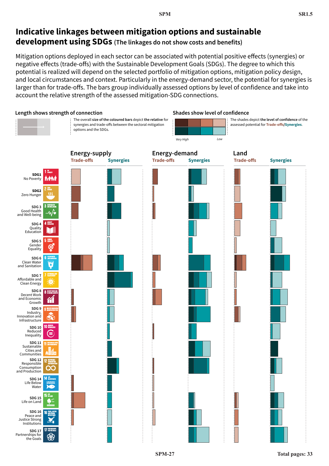## **Indicative linkages between mitigation options and sustainable development using SDGs (The linkages do not show costs and benefits)**

Mitigation options deployed in each sector can be associated with potential positive effects (synergies) or negative effects (trade-offs) with the Sustainable Development Goals (SDGs). The degree to which this potential is realized will depend on the selected portfolio of mitigation options, mitigation policy design, and local circumstances and context. Particularly in the energy-demand sector, the potential for synergies is larger than for trade-offs. The bars group individually assessed options by level of confidence and take into account the relative strength of the assessed mitigation-SDG connections.

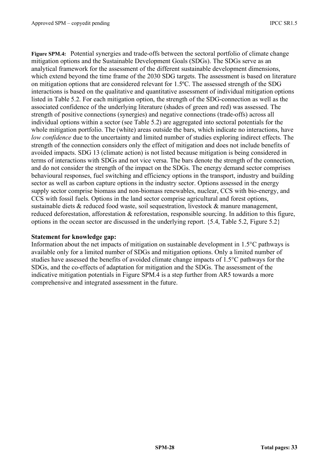**Figure SPM.4:** Potential synergies and trade-offs between the sectoral portfolio of climate change mitigation options and the Sustainable Development Goals (SDGs). The SDGs serve as an analytical framework for the assessment of the different sustainable development dimensions, which extend beyond the time frame of the 2030 SDG targets. The assessment is based on literature on mitigation options that are considered relevant for 1.5ºC. The assessed strength of the SDG interactions is based on the qualitative and quantitative assessment of individual mitigation options listed in Table 5.2. For each mitigation option, the strength of the SDG-connection as well as the associated confidence of the underlying literature (shades of green and red) was assessed. The strength of positive connections (synergies) and negative connections (trade-offs) across all individual options within a sector (see Table 5.2) are aggregated into sectoral potentials for the whole mitigation portfolio. The (white) areas outside the bars, which indicate no interactions, have *low confidence* due to the uncertainty and limited number of studies exploring indirect effects. The strength of the connection considers only the effect of mitigation and does not include benefits of avoided impacts. SDG 13 (climate action) is not listed because mitigation is being considered in terms of interactions with SDGs and not vice versa. The bars denote the strength of the connection, and do not consider the strength of the impact on the SDGs. The energy demand sector comprises behavioural responses, fuel switching and efficiency options in the transport, industry and building sector as well as carbon capture options in the industry sector. Options assessed in the energy supply sector comprise biomass and non-biomass renewables, nuclear, CCS with bio-energy, and CCS with fossil fuels. Options in the land sector comprise agricultural and forest options, sustainable diets & reduced food waste, soil sequestration, livestock & manure management, reduced deforestation, afforestation & reforestation, responsible sourcing. In addition to this figure, options in the ocean sector are discussed in the underlying report. {5.4, Table 5.2, Figure 5.2}

#### **Statement for knowledge gap:**

Information about the net impacts of mitigation on sustainable development in 1.5°C pathways is available only for a limited number of SDGs and mitigation options. Only a limited number of studies have assessed the benefits of avoided climate change impacts of 1.5°C pathways for the SDGs, and the co-effects of adaptation for mitigation and the SDGs. The assessment of the indicative mitigation potentials in Figure SPM.4 is a step further from AR5 towards a more comprehensive and integrated assessment in the future.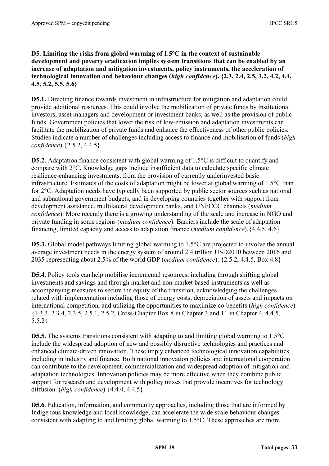#### **D5. Limiting the risks from global warming of 1.5°C in the context of sustainable development and poverty eradication implies system transitions that can be enabled by an increase of adaptation and mitigation investments, policy instruments, the acceleration of technological innovation and behaviour changes (***high confidence***). {2.3, 2.4, 2.5, 3.2, 4.2, 4.4, 4.5, 5.2, 5.5, 5.6}**

**D5.1.** Directing finance towards investment in infrastructure for mitigation and adaptation could provide additional resources. This could involve the mobilization of private funds by institutional investors, asset managers and development or investment banks, as well as the provision of public funds. Government policies that lower the risk of low-emission and adaptation investments can facilitate the mobilization of private funds and enhance the effectiveness of other public policies. Studies indicate a number of challenges including access to finance and mobilisation of funds (*high confidence*) {2.5.2, 4.4.5}

**D5.2.** Adaptation finance consistent with global warming of 1.5<sup>o</sup>C is difficult to quantify and compare with 2°C. Knowledge gaps include insufficient data to calculate specific climate resilience-enhancing investments, from the provision of currently underinvested basic infrastructure. Estimates of the costs of adaptation might be lower at global warming of 1.5°C than for 2°C. Adaptation needs have typically been supported by public sector sources such as national and subnational government budgets, and in developing countries together with support from development assistance, multilateral development banks, and UNFCCC channels (*medium confidence*). More recently there is a growing understanding of the scale and increase in NGO and private funding in some regions (*medium confidence*). Barriers include the scale of adaptation financing, limited capacity and access to adaptation finance (*medium confidence*).{4.4.5, 4.6}

**D5.3.** Global model pathways limiting global warming to 1.5<sup>o</sup>C are projected to involve the annual average investment needs in the energy system of around 2.4 trillion USD2010 between 2016 and 2035 representing about 2.5% of the world GDP (*medium confidence*). {2.5.2, 4.4.5, Box 4.8}

**D5.4.** Policy tools can help mobilise incremental resources, including through shifting global investments and savings and through market and non-market based instruments as well as accompanying measures to secure the equity of the transition, acknowledging the challenges related with implementation including those of energy costs, depreciation of assets and impacts on international competition, and utilizing the opportunities to maximize co-benefits (*high confidence*) {1.3.3, 2.3.4, 2.3.5, 2.5.1, 2.5.2, Cross-Chapter Box 8 in Chapter 3 and 11 in Chapter 4, 4.4.5, 5.5.2}

**D5.5.** The systems transitions consistent with adapting to and limiting global warming to 1.5°C include the widespread adoption of new and possibly disruptive technologies and practices and enhanced climate-driven innovation. These imply enhanced technological innovation capabilities, including in industry and finance. Both national innovation policies and international cooperation can contribute to the development, commercialization and widespread adoption of mitigation and adaptation technologies. Innovation policies may be more effective when they combine public support for research and development with policy mixes that provide incentives for technology diffusion. (*high confidence*) {4.4.4, 4.4.5}.

**D5.6**. Education, information, and community approaches, including those that are informed by Indigenous knowledge and local knowledge, can accelerate the wide scale behaviour changes consistent with adapting to and limiting global warming to 1.5°C. These approaches are more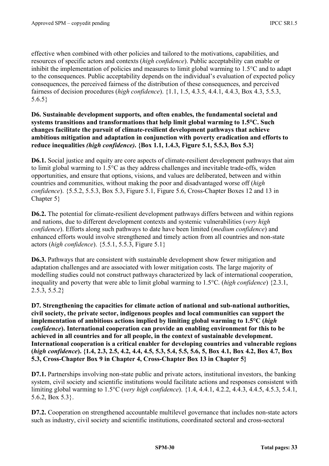effective when combined with other policies and tailored to the motivations, capabilities, and resources of specific actors and contexts (*high confidence*). Public acceptability can enable or inhibit the implementation of policies and measures to limit global warming to 1.5°C and to adapt to the consequences. Public acceptability depends on the individual's evaluation of expected policy consequences, the perceived fairness of the distribution of these consequences, and perceived fairness of decision procedures (*high confidence*). {1.1, 1.5, 4.3.5, 4.4.1, 4.4.3, Box 4.3, 5.5.3, 5.6.5}

**D6. Sustainable development supports, and often enables, the fundamental societal and systems transitions and transformations that help limit global warming to 1.5°C. Such changes facilitate the pursuit of climate-resilient development pathways that achieve ambitious mitigation and adaptation in conjunction with poverty eradication and efforts to reduce inequalities** *(high confidence)***. {Box 1.1, 1.4.3, Figure 5.1, 5.5.3, Box 5.3}** 

**D6.1.** Social justice and equity are core aspects of climate-resilient development pathways that aim to limit global warming to 1.5°C as they address challenges and inevitable trade-offs, widen opportunities, and ensure that options, visions, and values are deliberated, between and within countries and communities, without making the poor and disadvantaged worse off (*high confidence*). {5.5.2, 5.5.3, Box 5.3, Figure 5.1, Figure 5.6, Cross-Chapter Boxes 12 and 13 in Chapter 5}

**D6.2.** The potential for climate-resilient development pathways differs between and within regions and nations, due to different development contexts and systemic vulnerabilities (*very high confidence*). Efforts along such pathways to date have been limited (*medium confidence*) and enhanced efforts would involve strengthened and timely action from all countries and non-state actors (*high confidence*). {5.5.1, 5.5.3, Figure 5.1}

**D6.3.** Pathways that are consistent with sustainable development show fewer mitigation and adaptation challenges and are associated with lower mitigation costs. The large majority of modelling studies could not construct pathways characterized by lack of international cooperation, inequality and poverty that were able to limit global warming to 1.5°C. (*high confidence*) {2.3.1, 2.5.3, 5.5.2}

**D7. Strengthening the capacities for climate action of national and sub-national authorities, civil society, the private sector, indigenous peoples and local communities can support the implementation of ambitious actions implied by limiting global warming to 1.5°C (***high confidence***). International cooperation can provide an enabling environment for this to be achieved in all countries and for all people, in the context of sustainable development. International cooperation is a critical enabler for developing countries and vulnerable regions (***high confidence***). {1.4, 2.3, 2.5, 4.2, 4.4, 4.5, 5.3, 5.4, 5.5, 5.6, 5, Box 4.1, Box 4.2, Box 4.7, Box 5.3, Cross-Chapter Box 9 in Chapter 4, Cross-Chapter Box 13 in Chapter 5}**

**D7.1.** Partnerships involving non-state public and private actors, institutional investors, the banking system, civil society and scientific institutions would facilitate actions and responses consistent with limiting global warming to 1.5°C (*very high confidence*). {1.4, 4.4.1, 4.2.2, 4.4.3, 4.4.5, 4.5.3, 5.4.1, 5.6.2, Box 5.3}.

**D7.2.** Cooperation on strengthened accountable multilevel governance that includes non-state actors such as industry, civil society and scientific institutions, coordinated sectoral and cross-sectoral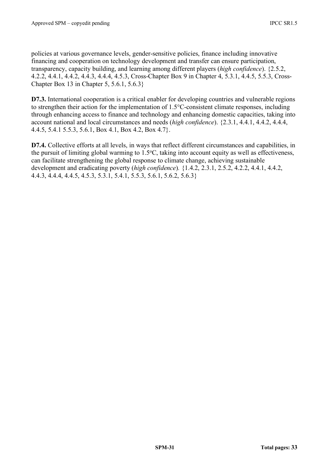policies at various governance levels, gender-sensitive policies, finance including innovative financing and cooperation on technology development and transfer can ensure participation, transparency, capacity building, and learning among different players (*high confidence*). {2.5.2, 4.2.2, 4.4.1, 4.4.2, 4.4.3, 4.4.4, 4.5.3, Cross-Chapter Box 9 in Chapter 4, 5.3.1, 4.4.5, 5.5.3, Cross-Chapter Box 13 in Chapter 5, 5.6.1, 5.6.3}

**D7.3.** International cooperation is a critical enabler for developing countries and vulnerable regions to strengthen their action for the implementation of 1.5°C-consistent climate responses, including through enhancing access to finance and technology and enhancing domestic capacities, taking into account national and local circumstances and needs (*high confidence*). {2.3.1, 4.4.1, 4.4.2, 4.4.4, 4.4.5, 5.4.1 5.5.3, 5.6.1, Box 4.1, Box 4.2, Box 4.7}.

**D7.4.** Collective efforts at all levels, in ways that reflect different circumstances and capabilities, in the pursuit of limiting global warming to 1.5°C, taking into account equity as well as effectiveness, can facilitate strengthening the global response to climate change, achieving sustainable development and eradicating poverty (*high confidence*)*.* {1.4.2, 2.3.1, 2.5.2, 4.2.2, 4.4.1, 4.4.2, 4.4.3, 4.4.4, 4.4.5, 4.5.3, 5.3.1, 5.4.1, 5.5.3, 5.6.1, 5.6.2, 5.6.3}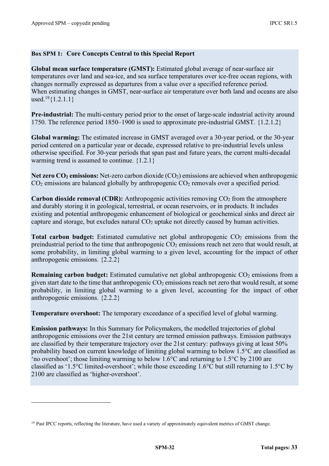#### **Box SPM 1: Core Concepts Central to this Special Report**

**Global mean surface temperature (GMST):** Estimated global average of near-surface air temperatures over land and sea-ice, and sea surface temperatures over ice-free ocean regions, with changes normally expressed as departures from a value over a specified reference period. When estimating changes in GMST, near-surface air temperature over both land and oceans are also used.<sup>19</sup> ${1.2.1.1}$ 

**Pre-industrial:** The multi-century period prior to the onset of large-scale industrial activity around 1750. The reference period 1850–1900 is used to approximate pre-industrial GMST. {1.2.1.2}

**Global warming:** The estimated increase in GMST averaged over a 30-year period, or the 30-year period centered on a particular year or decade, expressed relative to pre-industrial levels unless otherwise specified. For 30-year periods that span past and future years, the current multi-decadal warming trend is assumed to continue. {1.2.1}

**Net zero CO<sub>2</sub> emissions:** Net-zero carbon dioxide (CO<sub>2</sub>) emissions are achieved when anthropogenic  $CO<sub>2</sub>$  emissions are balanced globally by anthropogenic  $CO<sub>2</sub>$  removals over a specified period.

**Carbon dioxide removal (CDR):** Anthropogenic activities removing CO<sub>2</sub> from the atmosphere and durably storing it in geological, terrestrial, or ocean reservoirs, or in products. It includes existing and potential anthropogenic enhancement of biological or geochemical sinks and direct air capture and storage, but excludes natural  $CO<sub>2</sub>$  uptake not directly caused by human activities.

**Total carbon budget:** Estimated cumulative net global anthropogenic CO<sub>2</sub> emissions from the preindustrial period to the time that anthropogenic  $CO<sub>2</sub>$  emissions reach net zero that would result, at some probability, in limiting global warming to a given level, accounting for the impact of other anthropogenic emissions. {2.2.2}

**Remaining carbon budget:** Estimated cumulative net global anthropogenic CO<sub>2</sub> emissions from a given start date to the time that anthropogenic  $CO<sub>2</sub>$  emissions reach net zero that would result, at some probability, in limiting global warming to a given level, accounting for the impact of other anthropogenic emissions. {2.2.2}

**Temperature overshoot:** The temporary exceedance of a specified level of global warming.

**Emission pathways:** In this Summary for Policymakers, the modelled trajectories of global anthropogenic emissions over the 21st century are termed emission pathways. Emission pathways are classified by their temperature trajectory over the 21st century: pathways giving at least 50% probability based on current knowledge of limiting global warming to below 1.5°C are classified as 'no overshoot'; those limiting warming to below 1.6°C and returning to 1.5°C by 2100 are classified as '1.5°C limited-overshoot'; while those exceeding 1.6°C but still returning to 1.5°C by 2100 are classified as 'higher-overshoot'.

<sup>&</sup>lt;sup>19</sup> Past IPCC reports, reflecting the literature, have used a variety of approximately equivalent metrics of GMST change.